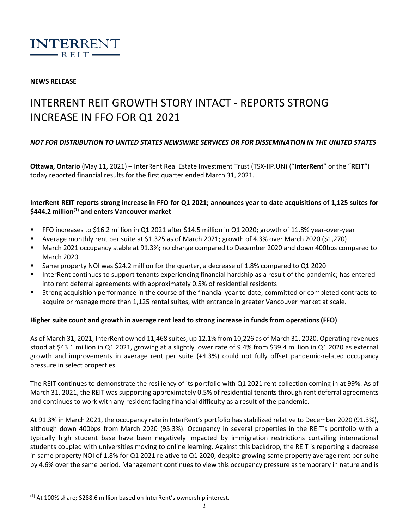

### **NEWS RELEASE**

# INTERRENT REIT GROWTH STORY INTACT - REPORTS STRONG INCREASE IN FFO FOR Q1 2021

## *NOT FOR DISTRIBUTION TO UNITED STATES NEWSWIRE SERVICES OR FOR DISSEMINATION IN THE UNITED STATES*

**Ottawa, Ontario** (May 11, 2021) – InterRent Real Estate Investment Trust (TSX-IIP.UN) ("**InterRent**" or the "**REIT**") today reported financial results for the first quarter ended March 31, 2021.

## **InterRent REIT reports strong increase in FFO for Q1 2021; announces year to date acquisitions of 1,125 suites for \$444.2 million(1) and enters Vancouver market**

- FFO increases to \$16.2 million in Q1 2021 after \$14.5 million in Q1 2020; growth of 11.8% year-over-year
- Average monthly rent per suite at \$1,325 as of March 2021; growth of 4.3% over March 2020 (\$1,270)
- March 2021 occupancy stable at 91.3%; no change compared to December 2020 and down 400bps compared to March 2020
- Same property NOI was \$24.2 million for the quarter, a decrease of 1.8% compared to Q1 2020
- InterRent continues to support tenants experiencing financial hardship as a result of the pandemic; has entered into rent deferral agreements with approximately 0.5% of residential residents
- Strong acquisition performance in the course of the financial year to date; committed or completed contracts to acquire or manage more than 1,125 rental suites, with entrance in greater Vancouver market at scale.

#### **Higher suite count and growth in average rent lead to strong increase in funds from operations (FFO)**

As of March 31, 2021, InterRent owned 11,468 suites, up 12.1% from 10,226 as of March 31, 2020. Operating revenues stood at \$43.1 million in Q1 2021, growing at a slightly lower rate of 9.4% from \$39.4 million in Q1 2020 as external growth and improvements in average rent per suite (+4.3%) could not fully offset pandemic-related occupancy pressure in select properties.

The REIT continues to demonstrate the resiliency of its portfolio with Q1 2021 rent collection coming in at 99%. As of March 31, 2021, the REIT was supporting approximately 0.5% of residential tenants through rent deferral agreements and continues to work with any resident facing financial difficulty as a result of the pandemic.

At 91.3% in March 2021, the occupancy rate in InterRent's portfolio has stabilized relative to December 2020 (91.3%), although down 400bps from March 2020 (95.3%). Occupancy in several properties in the REIT's portfolio with a typically high student base have been negatively impacted by immigration restrictions curtailing international students coupled with universities moving to online learning. Against this backdrop, the REIT is reporting a decrease in same property NOI of 1.8% for Q1 2021 relative to Q1 2020, despite growing same property average rent per suite by 4.6% over the same period. Management continues to view this occupancy pressure as temporary in nature and is

 $(1)$  At 100% share; \$288.6 million based on InterRent's ownership interest.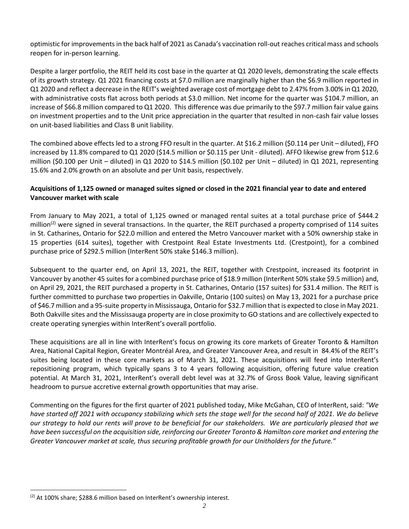optimistic for improvements in the back half of 2021 as Canada's vaccination roll-out reaches critical mass and schools reopen for in-person learning.

Despite a larger portfolio, the REIT held its cost base in the quarter at Q1 2020 levels, demonstrating the scale effects of its growth strategy. Q1 2021 financing costs at \$7.0 million are marginally higher than the \$6.9 million reported in Q1 2020 and reflect a decrease in the REIT's weighted average cost of mortgage debt to 2.47% from 3.00% in Q1 2020, with administrative costs flat across both periods at \$3.0 million. Net income for the quarter was \$104.7 million, an increase of \$66.8 million compared to Q1 2020. This difference was due primarily to the \$97.7 million fair value gains on investment properties and to the Unit price appreciation in the quarter that resulted in non-cash fair value losses on unit-based liabilities and Class B unit liability.

The combined above effects led to a strong FFO result in the quarter. At \$16.2 million (\$0.114 per Unit – diluted), FFO increased by 11.8% compared to Q1 2020 (\$14.5 million or \$0.115 per Unit - diluted). AFFO likewise grew from \$12.6 million (\$0.100 per Unit – diluted) in Q1 2020 to \$14.5 million (\$0.102 per Unit – diluted) in Q1 2021, representing 15.6% and 2.0% growth on an absolute and per Unit basis, respectively.

## **Acquisitions of 1,125 owned or managed suites signed or closed in the 2021 financial year to date and entered Vancouver market with scale**

From January to May 2021, a total of 1,125 owned or managed rental suites at a total purchase price of \$444.2 million<sup>(2)</sup> were signed in several transactions. In the quarter, the REIT purchased a property comprised of 114 suites in St. Catharines, Ontario for \$22.0 million and entered the Metro Vancouver market with a 50% ownership stake in 15 properties (614 suites), together with Crestpoint Real Estate Investments Ltd. (Crestpoint), for a combined purchase price of \$292.5 million (InterRent 50% stake \$146.3 million).

Subsequent to the quarter end, on April 13, 2021, the REIT, together with Crestpoint, increased its footprint in Vancouver by another 45 suites for a combined purchase price of \$18.9 million (InterRent 50% stake \$9.5 million) and, on April 29, 2021, the REIT purchased a property in St. Catharines, Ontario (157 suites) for \$31.4 million. The REIT is further committed to purchase two properties in Oakville, Ontario (100 suites) on May 13, 2021 for a purchase price of \$46.7 million and a 95-suite property in Mississauga, Ontario for \$32.7 million that is expected to close in May 2021. Both Oakville sites and the Mississauga property are in close proximity to GO stations and are collectively expected to create operating synergies within InterRent's overall portfolio.

These acquisitions are all in line with InterRent's focus on growing its core markets of Greater Toronto & Hamilton Area, National Capital Region, Greater Montréal Area, and Greater Vancouver Area, and result in 84.4% of the REIT's suites being located in these core markets as of March 31, 2021. These acquisitions will feed into InterRent's repositioning program, which typically spans 3 to 4 years following acquisition, offering future value creation potential. At March 31, 2021, InterRent's overall debt level was at 32.7% of Gross Book Value, leaving significant headroom to pursue accretive external growth opportunities that may arise.

Commenting on the figures for the first quarter of 2021 published today, Mike McGahan, CEO of InterRent, said: *"We have started off 2021 with occupancy stabilizing which sets the stage well for the second half of 2021. We do believe our strategy to hold our rents will prove to be beneficial for our stakeholders. We are particularly pleased that we have been successful on the acquisition side, reinforcing our Greater Toronto & Hamilton core market and entering the Greater Vancouver market at scale, thus securing profitable growth for our Unitholders for the future."*

<sup>&</sup>lt;sup>(2)</sup> At 100% share; \$288.6 million based on InterRent's ownership interest.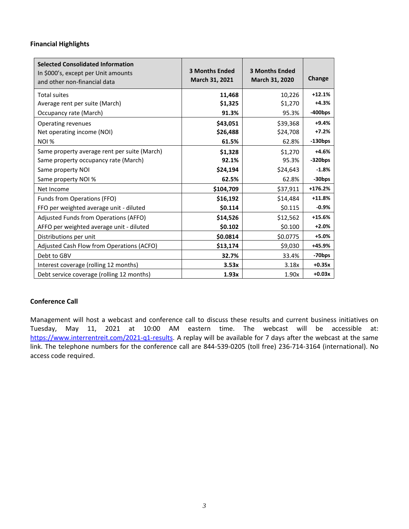## **Financial Highlights**

| <b>Selected Consolidated Information</b><br>In \$000's, except per Unit amounts<br>and other non-financial data | <b>3 Months Ended</b><br>March 31, 2021 | <b>3 Months Ended</b><br>March 31, 2020 | Change             |
|-----------------------------------------------------------------------------------------------------------------|-----------------------------------------|-----------------------------------------|--------------------|
| <b>Total suites</b>                                                                                             | 11,468                                  | 10,226                                  | $+12.1%$           |
| Average rent per suite (March)                                                                                  | \$1,325                                 | \$1,270                                 | $+4.3%$            |
| Occupancy rate (March)                                                                                          | 91.3%                                   | 95.3%                                   | $-400$ bps         |
| Operating revenues                                                                                              | \$43,051                                | \$39,368                                | +9.4%              |
| Net operating income (NOI)                                                                                      | \$26,488                                | \$24,708                                | $+7.2%$            |
| NOI %                                                                                                           | 61.5%                                   | 62.8%                                   | $-130$ bps         |
| Same property average rent per suite (March)                                                                    | \$1,328                                 | \$1,270                                 | $+4.6%$            |
| Same property occupancy rate (March)                                                                            | 92.1%                                   | 95.3%                                   | $-320bps$          |
| Same property NOI                                                                                               | \$24,194                                | \$24,643                                | $-1.8%$            |
| Same property NOI %                                                                                             | 62.5%                                   | 62.8%                                   | -30bps             |
| Net Income                                                                                                      | \$104,709                               | \$37,911                                | $+176.2%$          |
| Funds from Operations (FFO)                                                                                     | \$16,192                                | \$14,484                                | $+11.8%$           |
| FFO per weighted average unit - diluted                                                                         | \$0.114                                 | \$0.115                                 | $-0.9%$            |
| Adjusted Funds from Operations (AFFO)                                                                           | \$14,526                                | \$12,562                                | $+15.6%$           |
| AFFO per weighted average unit - diluted                                                                        | \$0.102                                 | \$0.100                                 | $+2.0%$            |
| Distributions per unit                                                                                          | \$0.0814                                | \$0.0775                                | +5.0%              |
| Adjusted Cash Flow from Operations (ACFO)                                                                       | \$13,174                                | \$9,030                                 | +45.9%             |
| Debt to GBV                                                                                                     | 32.7%                                   | 33.4%                                   | -70 <sub>bps</sub> |
| Interest coverage (rolling 12 months)                                                                           | 3.53x                                   | 3.18x                                   | $+0.35x$           |
| Debt service coverage (rolling 12 months)                                                                       | 1.93x                                   | 1.90x                                   | $+0.03x$           |

### **Conference Call**

Management will host a webcast and conference call to discuss these results and current business initiatives on Tuesday, May 11, 2021 at 10:00 AM eastern time. The webcast will be accessible at: https://www.interrentreit.com/2021-q1-results</u>. A replay will be available for 7 days after the webcast at the same link. The telephone numbers for the conference call are 844-539-0205 (toll free) 236-714-3164 (international). No access code required.